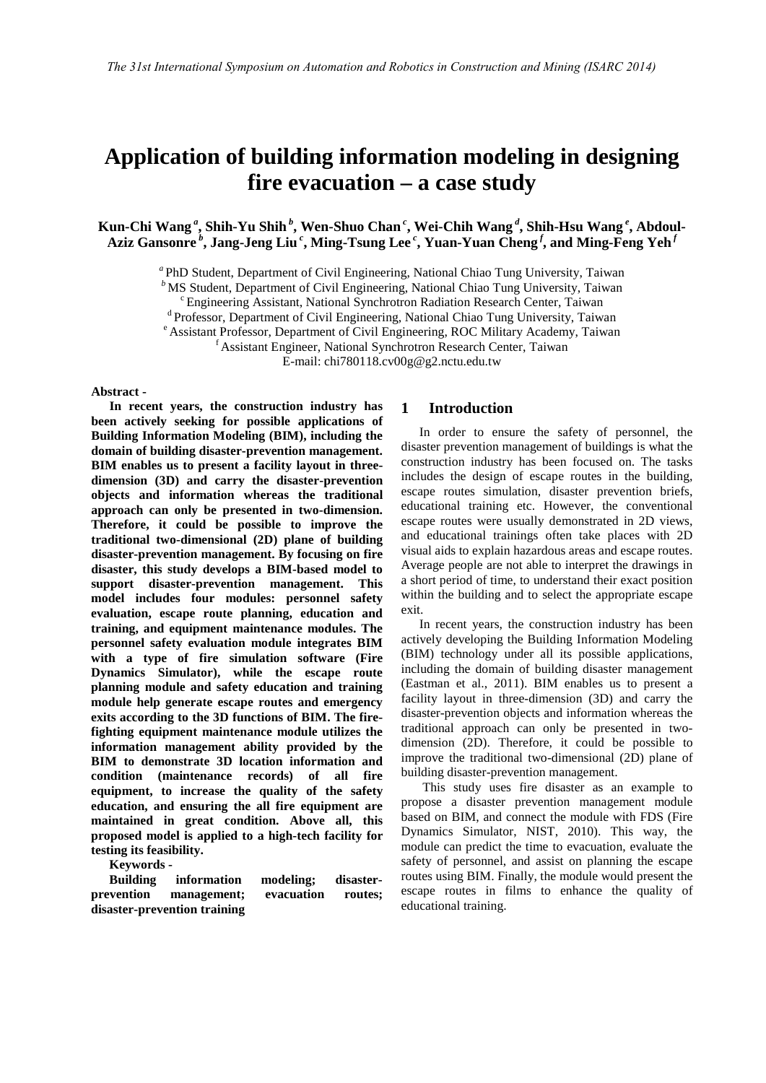# **Application of building information modeling in designing fire evacuation – a case study**

**Kun-Chi Wang***<sup>a</sup>***, Shih-Yu Shih***<sup>b</sup>***, Wen-Shuo Chan***<sup>c</sup>***, Wei-Chih Wang***<sup>d</sup>***, Shih-Hsu Wang***<sup>e</sup>***, Abdoul-Aziz Gansonre***<sup>b</sup>***, Jang-Jeng Liu***<sup>c</sup>***, Ming-Tsung Lee***<sup>c</sup>***, Yuan-Yuan Cheng***<sup>f</sup>***, and Ming-Feng Yeh***<sup>f</sup>*

<sup>a</sup> PhD Student, Department of Civil Engineering, National Chiao Tung University, Taiwan<br>
<sup>b</sup> MS Student, Department of Civil Engineering, National Chiao Tung University, Taiwan<br>
<sup>c</sup> Engineering Assistant, National Synchr

E-mail: chi780118.cv00g@g2.nctu.edu.tw

#### **Abstract -**

**In recent years, the construction industry has been actively seeking for possible applications of Building Information Modeling (BIM), including the domain of building disaster-prevention management. BIM enables us to present a facility layout in threedimension (3D) and carry the disaster-prevention objects and information whereas the traditional approach can only be presented in two-dimension. Therefore, it could be possible to improve the traditional two-dimensional (2D) plane of building disaster-prevention management. By focusing on fire disaster, this study develops a BIM-based model to support disaster-prevention management. This model includes four modules: personnel safety evaluation, escape route planning, education and training, and equipment maintenance modules. The personnel safety evaluation module integrates BIM with a type of fire simulation software (Fire Dynamics Simulator), while the escape route planning module and safety education and training module help generate escape routes and emergency exits according to the 3D functions of BIM. The firefighting equipment maintenance module utilizes the information management ability provided by the BIM to demonstrate 3D location information and condition (maintenance records) of all fire equipment, to increase the quality of the safety education, and ensuring the all fire equipment are maintained in great condition. Above all, this proposed model is applied to a high-tech facility for testing its feasibility.**

**Keywords -** 

**Building information modeling; disasterprevention management; evacuation routes; disaster-prevention training**

#### **1 Introduction**

In order to ensure the safety of personnel, the disaster prevention management of buildings is what the construction industry has been focused on. The tasks includes the design of escape routes in the building, escape routes simulation, disaster prevention briefs, educational training etc. However, the conventional escape routes were usually demonstrated in 2D views, and educational trainings often take places with 2D visual aids to explain hazardous areas and escape routes. Average people are not able to interpret the drawings in a short period of time, to understand their exact position within the building and to select the appropriate escape exit.

In recent years, the construction industry has been actively developing the Building Information Modeling (BIM) technology under all its possible applications, including the domain of building disaster management (Eastman et al., 2011). BIM enables us to present a facility layout in three-dimension (3D) and carry the disaster-prevention objects and information whereas the traditional approach can only be presented in twodimension (2D). Therefore, it could be possible to improve the traditional two-dimensional (2D) plane of building disaster-prevention management.

This study uses fire disaster as an example to propose a disaster prevention management module based on BIM, and connect the module with FDS (Fire Dynamics Simulator, NIST, 2010). This way, the module can predict the time to evacuation, evaluate the safety of personnel, and assist on planning the escape routes using BIM. Finally, the module would present the escape routes in films to enhance the quality of educational training.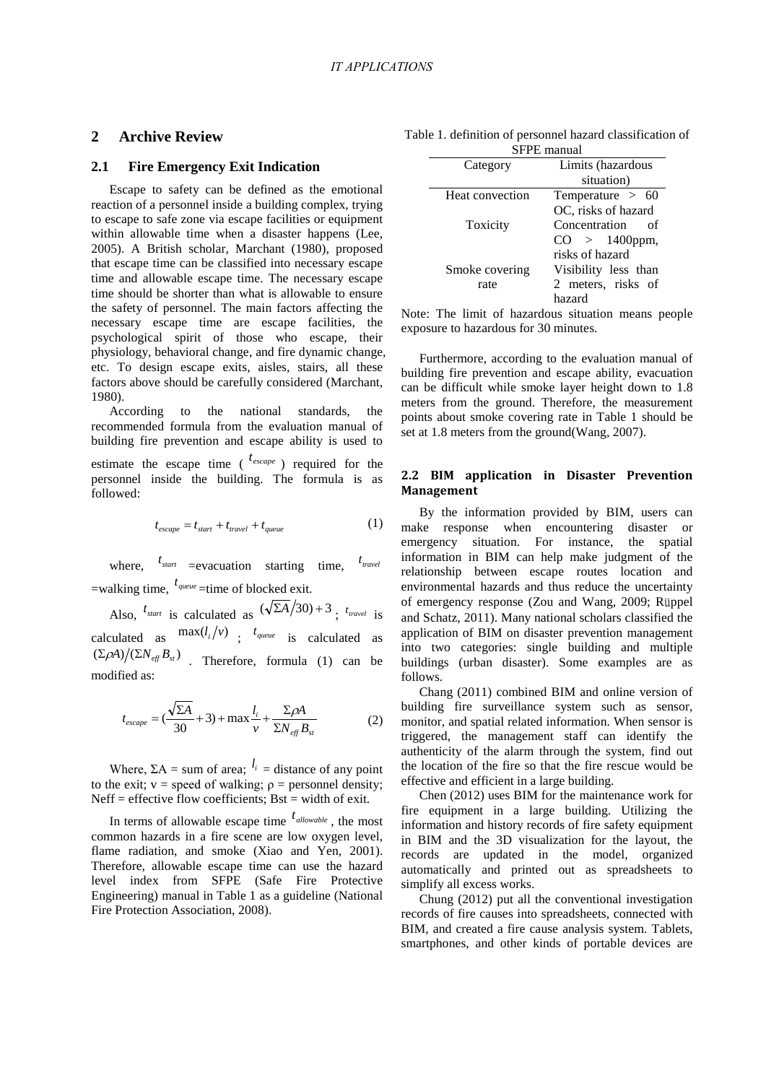## **2 Archive Review**

#### **2.1 Fire Emergency Exit Indication**

Escape to safety can be defined as the emotional reaction of a personnel inside a building complex, trying to escape to safe zone via escape facilities or equipment within allowable time when a disaster happens (Lee, 2005). A British scholar, Marchant (1980), proposed that escape time can be classified into necessary escape time and allowable escape time. The necessary escape time should be shorter than what is allowable to ensure the safety of personnel. The main factors affecting the necessary escape time are escape facilities, the psychological spirit of those who escape, their physiology, behavioral change, and fire dynamic change, etc. To design escape exits, aisles, stairs, all these factors above should be carefully considered (Marchant, 1980).

According to the national standards, the recommended formula from the evaluation manual of building fire prevention and escape ability is used to estimate the escape time  $\left( \begin{array}{c} t_{escape} \\ t_{escape} \end{array} \right)$  required for the personnel inside the building. The formula is as followed:

$$
t_{escape} = t_{start} + t_{travel} + t_{queue}
$$
 (1)

where,  $t_{start}$  =evacuation starting time,  $t_{travel}$  $=$ walking time,  $t_{queue}$   $=$ time of blocked exit.

Also,  $t_{start}$  is calculated as  $(\sqrt{\Sigma A}/30) + 3$ ;  $t_{travel}$  is calculated as  $\max(l_i/v)$ ;  $t_{queue}$  is calculated as  $(\Sigma \rho A) / (\Sigma N_{\text{eff}} B_{\text{st}})$  . Therefore, formula (1) can be modified as:

$$
t_{escape} = (\frac{\sqrt{\Sigma A}}{30} + 3) + \max_{V} \frac{l_i}{\Sigma N_{eff}} + \frac{\Sigma \rho A}{\Sigma N_{eff} B_{st}} \tag{2}
$$

Where,  $\Sigma A = \text{sum of area}; \, l_i = \text{distance of any point}$ to the exit;  $v = speed of walking; \rho = personal density;$ Neff = effective flow coefficients;  $Bst = width of exit.$ 

In terms of allowable escape time  $t_{allowable}$ , the most common hazards in a fire scene are low oxygen level, flame radiation, and smoke (Xiao and Yen, 2001). Therefore, allowable escape time can use the hazard level index from SFPE (Safe Fire Protective Engineering) manual in Table 1 as a guideline (National Fire Protection Association, 2008).

|             |  |  |  | Table 1. definition of personnel hazard classification of |  |  |
|-------------|--|--|--|-----------------------------------------------------------|--|--|
| SFPE manual |  |  |  |                                                           |  |  |

| Category        | Limits (hazardous    |  |  |
|-----------------|----------------------|--|--|
|                 | situation)           |  |  |
| Heat convection | Temperature $> 60$   |  |  |
|                 | OC, risks of hazard  |  |  |
| Toxicity        | Concentration<br>Ωf  |  |  |
|                 | $CO > 1400$ ppm,     |  |  |
|                 | risks of hazard      |  |  |
| Smoke covering  | Visibility less than |  |  |
| rate            | 2 meters, risks of   |  |  |
|                 | hazard               |  |  |

Note: The limit of hazardous situation means people exposure to hazardous for 30 minutes.

Furthermore, according to the evaluation manual of building fire prevention and escape ability, evacuation can be difficult while smoke layer height down to 1.8 meters from the ground. Therefore, the measurement points about smoke covering rate in Table 1 should be set at 1.8 meters from the ground(Wang, 2007).

## **2.2 BIM application in Disaster Prevention Management**

By the information provided by BIM, users can make response when encountering disaster or emergency situation. For instance, the spatial information in BIM can help make judgment of the relationship between escape routes location and environmental hazards and thus reduce the uncertainty of emergency response (Zou and Wang, 2009; Rüppel and Schatz, 2011). Many national scholars classified the application of BIM on disaster prevention management into two categories: single building and multiple buildings (urban disaster). Some examples are as follows.

Chang (2011) combined BIM and online version of building fire surveillance system such as sensor, monitor, and spatial related information. When sensor is triggered, the management staff can identify the authenticity of the alarm through the system, find out the location of the fire so that the fire rescue would be effective and efficient in a large building.

Chen (2012) uses BIM for the maintenance work for fire equipment in a large building. Utilizing the information and history records of fire safety equipment in BIM and the 3D visualization for the layout, the records are updated in the model, organized automatically and printed out as spreadsheets to simplify all excess works.

Chung (2012) put all the conventional investigation records of fire causes into spreadsheets, connected with BIM, and created a fire cause analysis system. Tablets, smartphones, and other kinds of portable devices are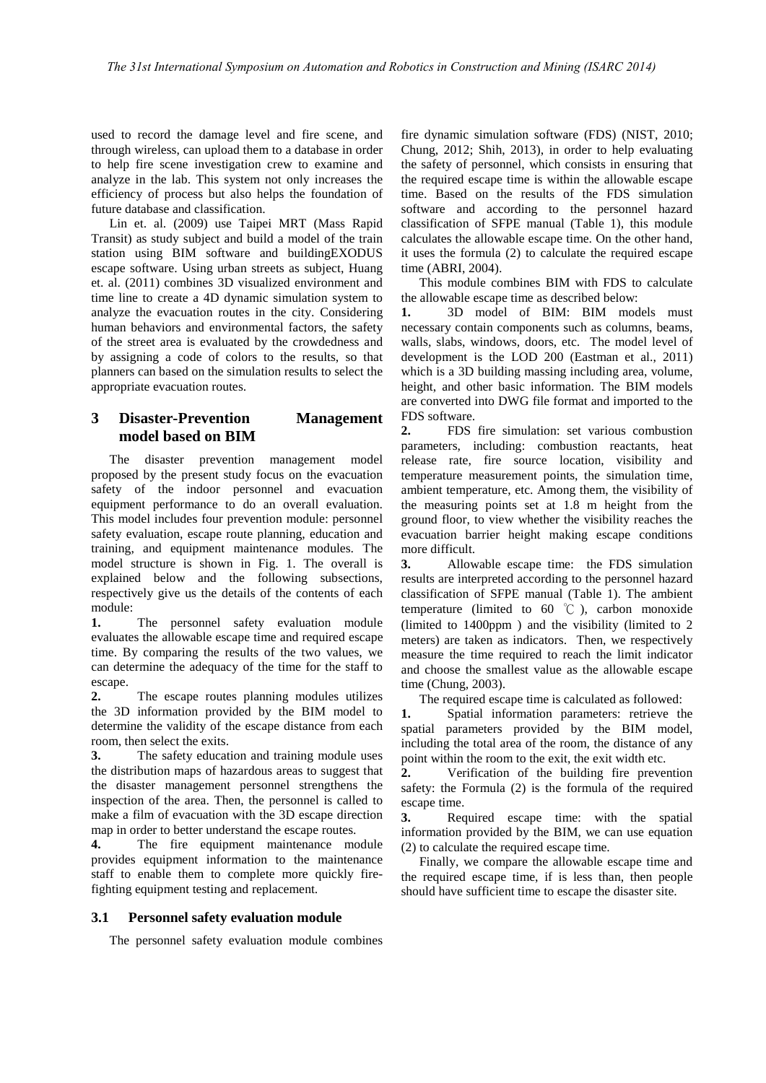used to record the damage level and fire scene, and through wireless, can upload them to a database in order to help fire scene investigation crew to examine and analyze in the lab. This system not only increases the efficiency of process but also helps the foundation of future database and classification.

Lin et. al. (2009) use Taipei MRT (Mass Rapid Transit) as study subject and build a model of the train station using BIM software and buildingEXODUS escape software. Using urban streets as subject, Huang et. al. (2011) combines 3D visualized environment and time line to create a 4D dynamic simulation system to analyze the evacuation routes in the city. Considering human behaviors and environmental factors, the safety of the street area is evaluated by the crowdedness and by assigning a code of colors to the results, so that planners can based on the simulation results to select the appropriate evacuation routes.

## **3 Disaster-Prevention Management model based on BIM**

The disaster prevention management model proposed by the present study focus on the evacuation safety of the indoor personnel and evacuation equipment performance to do an overall evaluation. This model includes four prevention module: personnel safety evaluation, escape route planning, education and training, and equipment maintenance modules. The model structure is shown in Fig. 1. The overall is explained below and the following subsections, respectively give us the details of the contents of each module:

**1.** The personnel safety evaluation module evaluates the allowable escape time and required escape time. By comparing the results of the two values, we can determine the adequacy of the time for the staff to escape.

**2.** The escape routes planning modules utilizes the 3D information provided by the BIM model to determine the validity of the escape distance from each room, then select the exits.

**3.** The safety education and training module uses the distribution maps of hazardous areas to suggest that the disaster management personnel strengthens the inspection of the area. Then, the personnel is called to make a film of evacuation with the 3D escape direction map in order to better understand the escape routes.

**4.** The fire equipment maintenance module provides equipment information to the maintenance staff to enable them to complete more quickly firefighting equipment testing and replacement.

## **3.1 Personnel safety evaluation module**

The personnel safety evaluation module combines

fire dynamic simulation software (FDS) (NIST, 2010; Chung, 2012; Shih, 2013), in order to help evaluating the safety of personnel, which consists in ensuring that the required escape time is within the allowable escape time. Based on the results of the FDS simulation software and according to the personnel hazard classification of SFPE manual (Table 1), this module calculates the allowable escape time. On the other hand, it uses the formula (2) to calculate the required escape time (ABRI, 2004).

This module combines BIM with FDS to calculate the allowable escape time as described below:

**1.** 3D model of BIM: BIM models must necessary contain components such as columns, beams, walls, slabs, windows, doors, etc. The model level of development is the LOD 200 (Eastman et al., 2011) which is a 3D building massing including area, volume, height, and other basic information. The BIM models are converted into DWG file format and imported to the FDS software.

**2.** FDS fire simulation: set various combustion parameters, including: combustion reactants, heat release rate, fire source location, visibility and temperature measurement points, the simulation time, ambient temperature, etc. Among them, the visibility of the measuring points set at 1.8 m height from the ground floor, to view whether the visibility reaches the evacuation barrier height making escape conditions more difficult.

**3.** Allowable escape time: the FDS simulation results are interpreted according to the personnel hazard classification of SFPE manual (Table 1). The ambient temperature (limited to  $60^{\circ}$ C), carbon monoxide (limited to 1400ppm ) and the visibility (limited to 2 meters) are taken as indicators. Then, we respectively measure the time required to reach the limit indicator and choose the smallest value as the allowable escape time (Chung, 2003).

The required escape time is calculated as followed:

**1.** Spatial information parameters: retrieve the spatial parameters provided by the BIM model, including the total area of the room, the distance of any point within the room to the exit, the exit width etc.

**2.** Verification of the building fire prevention safety: the Formula (2) is the formula of the required escape time.

**3.** Required escape time: with the spatial information provided by the BIM, we can use equation (2) to calculate the required escape time.

Finally, we compare the allowable escape time and the required escape time, if is less than, then people should have sufficient time to escape the disaster site.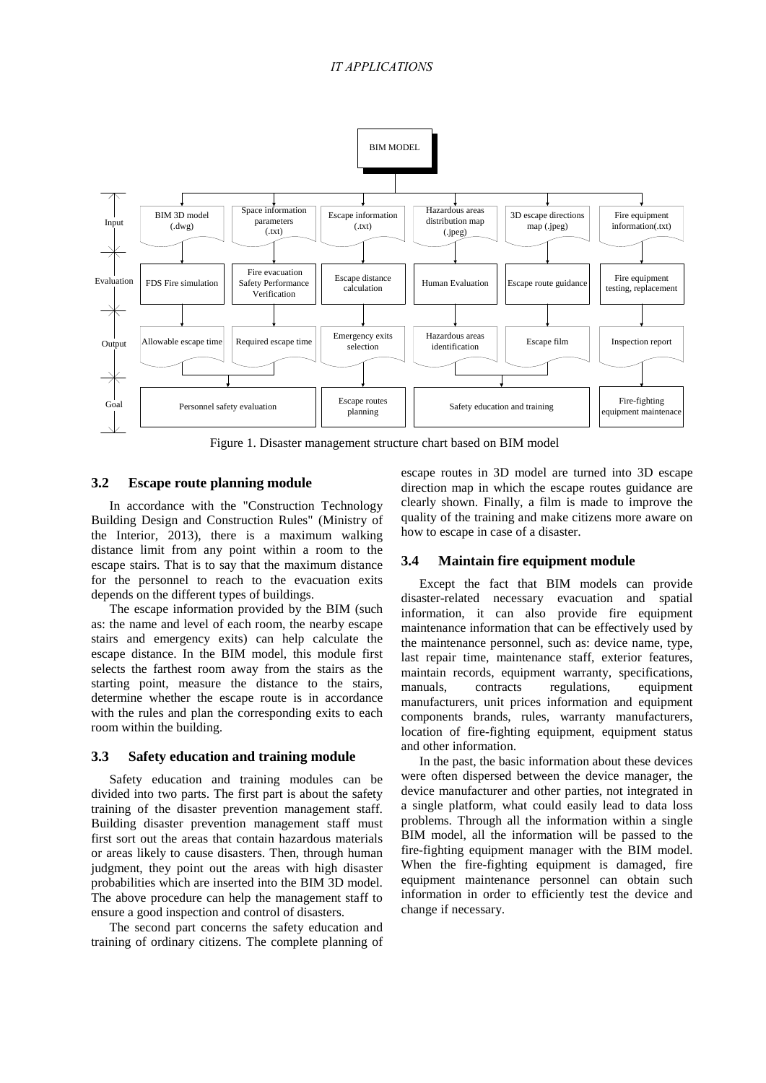## *IT APPLICATIONS*



Figure 1. Disaster management structure chart based on BIM model

#### **3.2 Escape route planning module**

In accordance with the "Construction Technology Building Design and Construction Rules" (Ministry of the Interior, 2013), there is a maximum walking distance limit from any point within a room to the escape stairs. That is to say that the maximum distance for the personnel to reach to the evacuation exits depends on the different types of buildings.

The escape information provided by the BIM (such as: the name and level of each room, the nearby escape stairs and emergency exits) can help calculate the escape distance. In the BIM model, this module first selects the farthest room away from the stairs as the starting point, measure the distance to the stairs, determine whether the escape route is in accordance with the rules and plan the corresponding exits to each room within the building.

#### **3.3 Safety education and training module**

Safety education and training modules can be divided into two parts. The first part is about the safety training of the disaster prevention management staff. Building disaster prevention management staff must first sort out the areas that contain hazardous materials or areas likely to cause disasters. Then, through human judgment, they point out the areas with high disaster probabilities which are inserted into the BIM 3D model. The above procedure can help the management staff to ensure a good inspection and control of disasters.

The second part concerns the safety education and training of ordinary citizens. The complete planning of escape routes in 3D model are turned into 3D escape direction map in which the escape routes guidance are clearly shown. Finally, a film is made to improve the quality of the training and make citizens more aware on how to escape in case of a disaster.

## **3.4 Maintain fire equipment module**

Except the fact that BIM models can provide disaster-related necessary evacuation and spatial information, it can also provide fire equipment maintenance information that can be effectively used by the maintenance personnel, such as: device name, type, last repair time, maintenance staff, exterior features, maintain records, equipment warranty, specifications, manuals, contracts regulations, equipment manufacturers, unit prices information and equipment components brands, rules, warranty manufacturers, location of fire-fighting equipment, equipment status and other information.

In the past, the basic information about these devices were often dispersed between the device manager, the device manufacturer and other parties, not integrated in a single platform, what could easily lead to data loss problems. Through all the information within a single BIM model, all the information will be passed to the fire-fighting equipment manager with the BIM model. When the fire-fighting equipment is damaged, fire equipment maintenance personnel can obtain such information in order to efficiently test the device and change if necessary.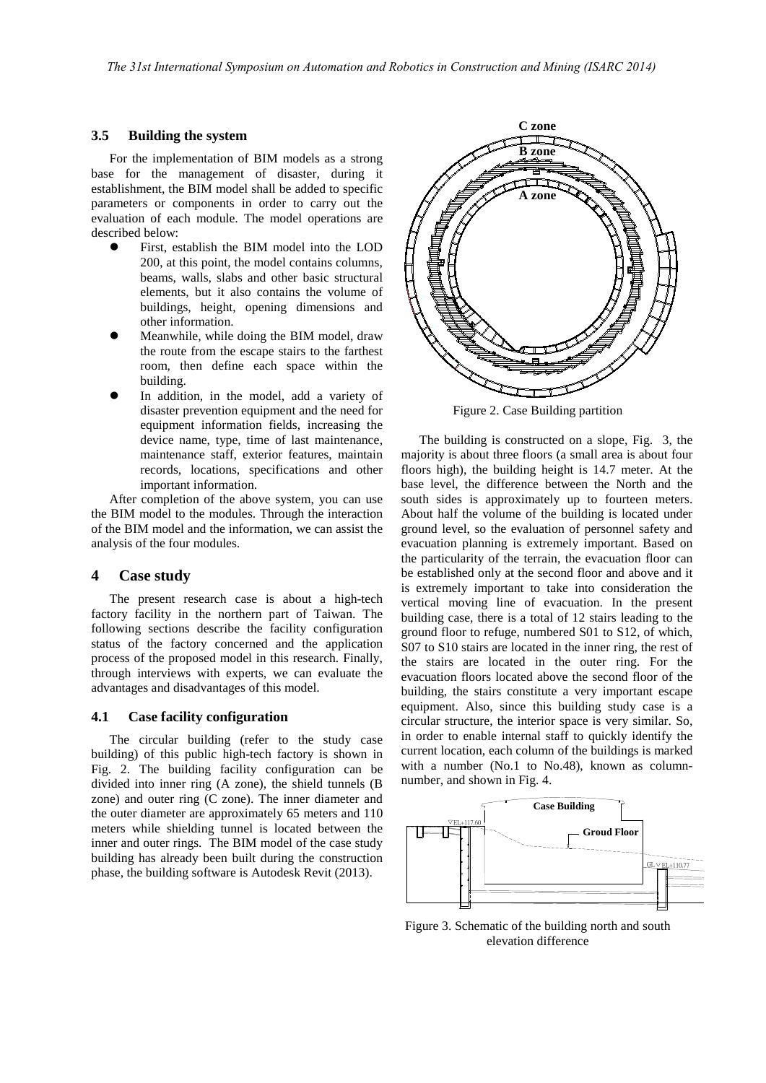#### **3.5 Building the system**

For the implementation of BIM models as a strong base for the management of disaster, during it establishment, the BIM model shall be added to specific parameters or components in order to carry out the evaluation of each module. The model operations are described below:

- First, establish the BIM model into the LOD 200, at this point, the model contains columns, beams, walls, slabs and other basic structural elements, but it also contains the volume of buildings, height, opening dimensions and other information.
- Meanwhile, while doing the BIM model, draw the route from the escape stairs to the farthest room, then define each space within the building.
- In addition, in the model, add a variety of disaster prevention equipment and the need for equipment information fields, increasing the device name, type, time of last maintenance, maintenance staff, exterior features, maintain records, locations, specifications and other important information.

After completion of the above system, you can use the BIM model to the modules. Through the interaction of the BIM model and the information, we can assist the analysis of the four modules.

#### **4 Case study**

The present research case is about a high-tech factory facility in the northern part of Taiwan. The following sections describe the facility configuration status of the factory concerned and the application process of the proposed model in this research. Finally, through interviews with experts, we can evaluate the advantages and disadvantages of this model.

#### **4.1 Case facility configuration**

The circular building (refer to the study case building) of this public high-tech factory is shown in Fig. 2. The building facility configuration can be divided into inner ring (A zone), the shield tunnels (B zone) and outer ring (C zone). The inner diameter and the outer diameter are approximately 65 meters and 110 meters while shielding tunnel is located between the inner and outer rings. The BIM model of the case study building has already been built during the construction phase, the building software is Autodesk Revit (2013).



Figure 2. Case Building partition

The building is constructed on a slope, Fig. 3, the majority is about three floors (a small area is about four floors high), the building height is 14.7 meter. At the base level, the difference between the North and the south sides is approximately up to fourteen meters. About half the volume of the building is located under ground level, so the evaluation of personnel safety and evacuation planning is extremely important. Based on the particularity of the terrain, the evacuation floor can be established only at the second floor and above and it is extremely important to take into consideration the vertical moving line of evacuation. In the present building case, there is a total of 12 stairs leading to the ground floor to refuge, numbered S01 to S12, of which, S07 to S10 stairs are located in the inner ring, the rest of the stairs are located in the outer ring. For the evacuation floors located above the second floor of the building, the stairs constitute a very important escape equipment. Also, since this building study case is a circular structure, the interior space is very similar. So, in order to enable internal staff to quickly identify the current location, each column of the buildings is marked with a number (No.1 to No.48), known as columnnumber, and shown in Fig. 4.



Figure 3. Schematic of the building north and south elevation difference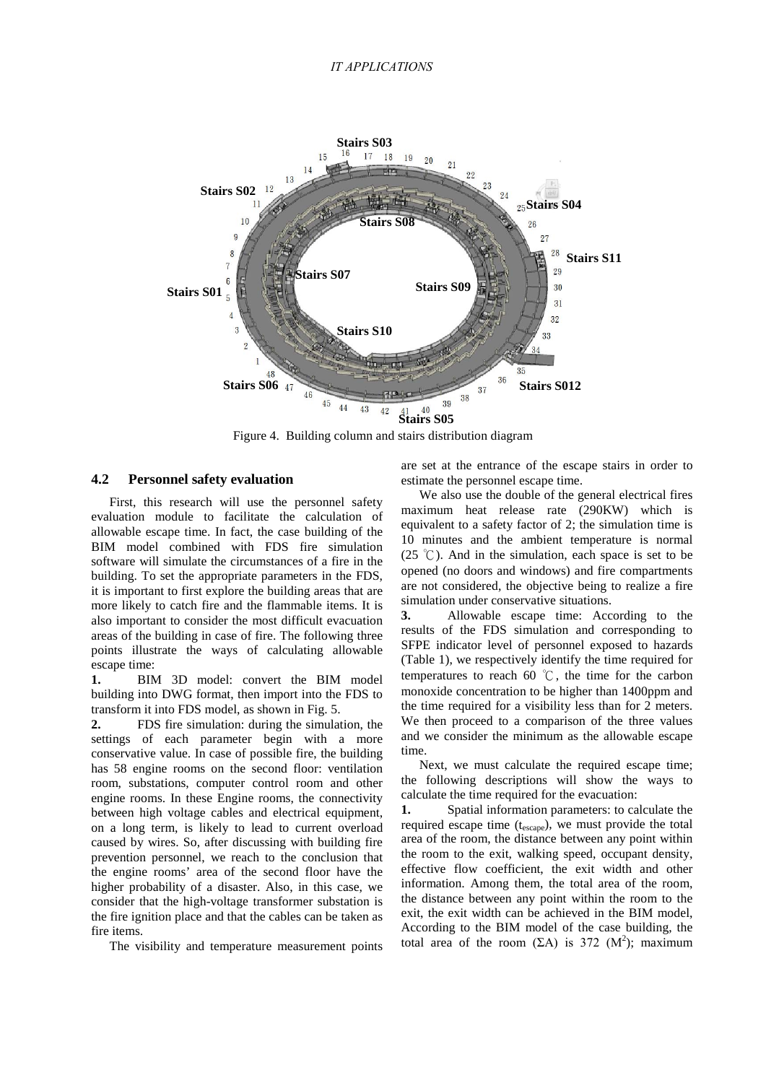#### *IT APPLICATIONS*



Figure 4. Building column and stairs distribution diagram

#### **4.2 Personnel safety evaluation**

First, this research will use the personnel safety evaluation module to facilitate the calculation of allowable escape time. In fact, the case building of the BIM model combined with FDS fire simulation software will simulate the circumstances of a fire in the building. To set the appropriate parameters in the FDS, it is important to first explore the building areas that are more likely to catch fire and the flammable items. It is also important to consider the most difficult evacuation areas of the building in case of fire. The following three points illustrate the ways of calculating allowable escape time:

**1.** BIM 3D model: convert the BIM model building into DWG format, then import into the FDS to transform it into FDS model, as shown in Fig. 5.

**2.** FDS fire simulation: during the simulation, the settings of each parameter begin with a more conservative value. In case of possible fire, the building has 58 engine rooms on the second floor: ventilation room, substations, computer control room and other engine rooms. In these Engine rooms, the connectivity between high voltage cables and electrical equipment, on a long term, is likely to lead to current overload caused by wires. So, after discussing with building fire prevention personnel, we reach to the conclusion that the engine rooms' area of the second floor have the higher probability of a disaster. Also, in this case, we consider that the high-voltage transformer substation is the fire ignition place and that the cables can be taken as fire items.

The visibility and temperature measurement points

are set at the entrance of the escape stairs in order to estimate the personnel escape time.

We also use the double of the general electrical fires maximum heat release rate (290KW) which is equivalent to a safety factor of 2; the simulation time is 10 minutes and the ambient temperature is normal (25 °C). And in the simulation, each space is set to be opened (no doors and windows) and fire compartments are not considered, the objective being to realize a fire simulation under conservative situations.

**3.** Allowable escape time: According to the results of the FDS simulation and corresponding to SFPE indicator level of personnel exposed to hazards (Table 1), we respectively identify the time required for temperatures to reach 60 ℃, the time for the carbon monoxide concentration to be higher than 1400ppm and the time required for a visibility less than for 2 meters. We then proceed to a comparison of the three values and we consider the minimum as the allowable escape time.

Next, we must calculate the required escape time; the following descriptions will show the ways to calculate the time required for the evacuation:

**1.** Spatial information parameters: to calculate the required escape time  $(t_{\text{escape}})$ , we must provide the total area of the room, the distance between any point within the room to the exit, walking speed, occupant density, effective flow coefficient, the exit width and other information. Among them, the total area of the room, the distance between any point within the room to the exit, the exit width can be achieved in the BIM model, According to the BIM model of the case building, the total area of the room  $(EA)$  is 372  $(M^2)$ ; maximum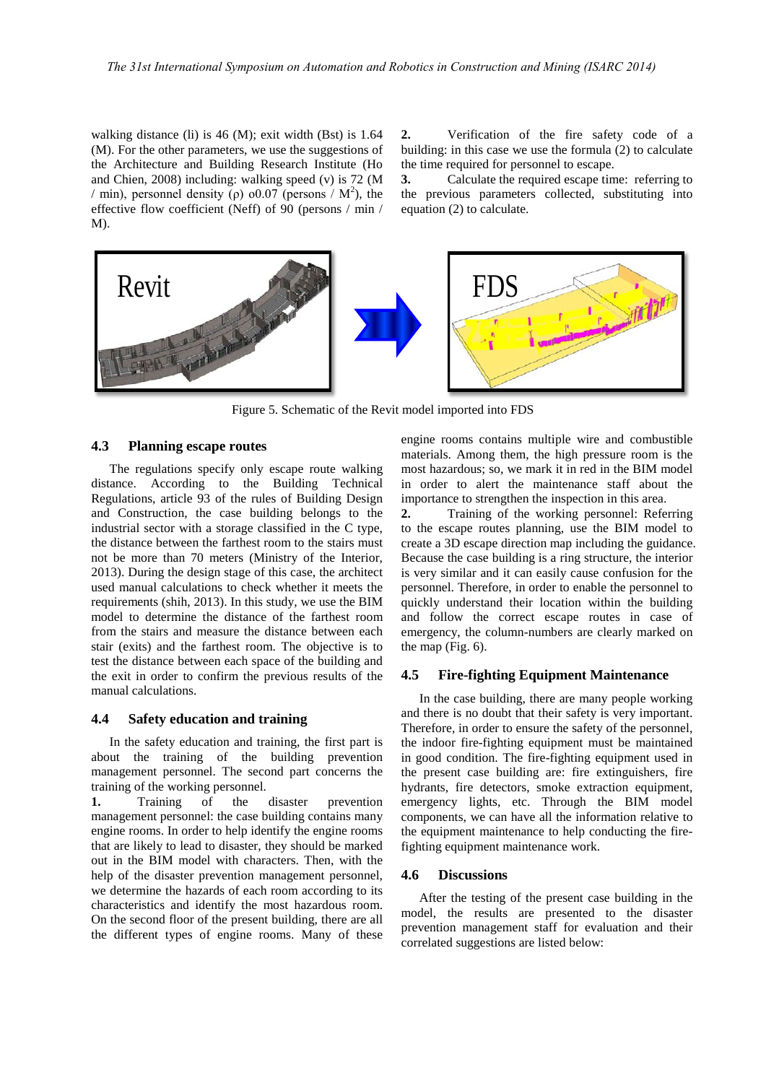walking distance (li) is 46 (M); exit width (Bst) is 1.64 (M). For the other parameters, we use the suggestions of the Architecture and Building Research Institute (Ho and Chien, 2008) including: walking speed (v) is 72 (M / min), personnel density ( $\rho$ ) o0.07 (persons / M<sup>2</sup>), the effective flow coefficient (Neff) of 90 (persons / min / M).

**2.** Verification of the fire safety code of a building: in this case we use the formula (2) to calculate the time required for personnel to escape.

**3.** Calculate the required escape time: referring to the previous parameters collected, substituting into equation (2) to calculate.



Figure 5. Schematic of the Revit model imported into FDS

## **4.3 Planning escape routes**

The regulations specify only escape route walking distance. According to the Building Technical Regulations, article 93 of the rules of Building Design and Construction, the case building belongs to the industrial sector with a storage classified in the C type, the distance between the farthest room to the stairs must not be more than 70 meters (Ministry of the Interior, 2013). During the design stage of this case, the architect used manual calculations to check whether it meets the requirements (shih, 2013). In this study, we use the BIM model to determine the distance of the farthest room from the stairs and measure the distance between each stair (exits) and the farthest room. The objective is to test the distance between each space of the building and the exit in order to confirm the previous results of the manual calculations.

## **4.4 Safety education and training**

In the safety education and training, the first part is about the training of the building prevention management personnel. The second part concerns the training of the working personnel.

**1.** Training of the disaster prevention management personnel: the case building contains many engine rooms. In order to help identify the engine rooms that are likely to lead to disaster, they should be marked out in the BIM model with characters. Then, with the help of the disaster prevention management personnel, we determine the hazards of each room according to its characteristics and identify the most hazardous room. On the second floor of the present building, there are all the different types of engine rooms. Many of these engine rooms contains multiple wire and combustible materials. Among them, the high pressure room is the most hazardous; so, we mark it in red in the BIM model in order to alert the maintenance staff about the importance to strengthen the inspection in this area.

**2.** Training of the working personnel: Referring to the escape routes planning, use the BIM model to create a 3D escape direction map including the guidance. Because the case building is a ring structure, the interior is very similar and it can easily cause confusion for the personnel. Therefore, in order to enable the personnel to quickly understand their location within the building and follow the correct escape routes in case of emergency, the column-numbers are clearly marked on the map (Fig. 6).

#### **4.5 Fire-fighting Equipment Maintenance**

In the case building, there are many people working and there is no doubt that their safety is very important. Therefore, in order to ensure the safety of the personnel, the indoor fire-fighting equipment must be maintained in good condition. The fire-fighting equipment used in the present case building are: fire extinguishers, fire hydrants, fire detectors, smoke extraction equipment, emergency lights, etc. Through the BIM model components, we can have all the information relative to the equipment maintenance to help conducting the firefighting equipment maintenance work.

#### **4.6 Discussions**

After the testing of the present case building in the model, the results are presented to the disaster prevention management staff for evaluation and their correlated suggestions are listed below: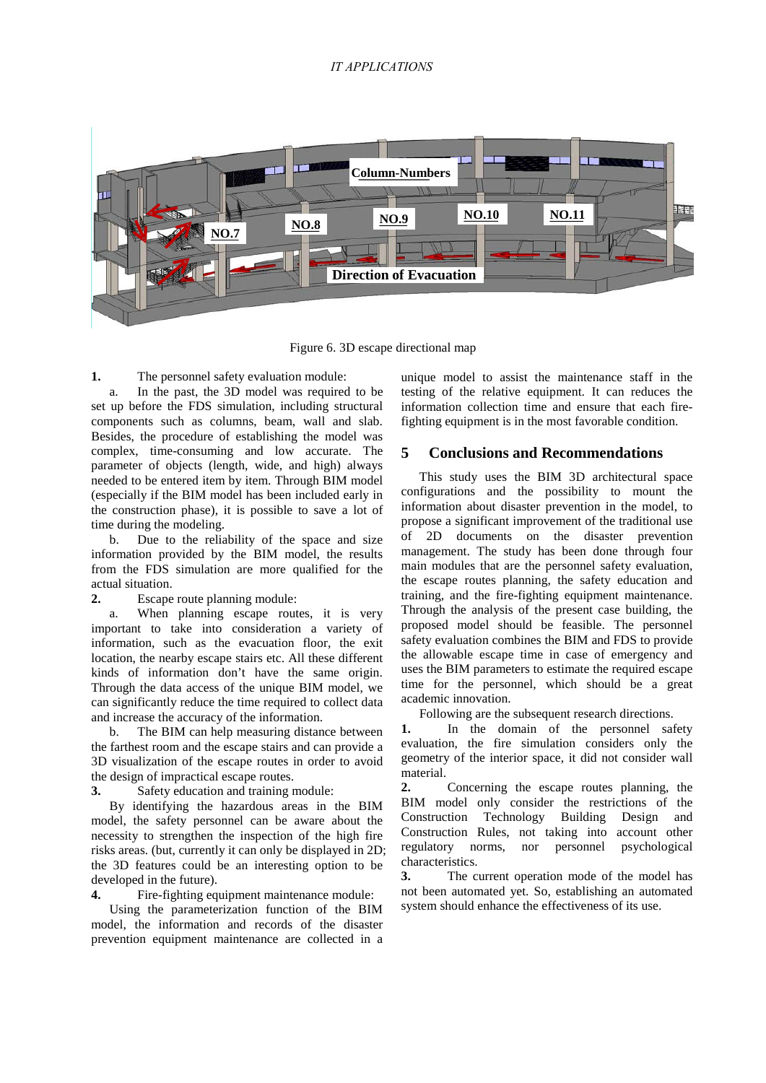## *IT APPLICATIONS*



Figure 6. 3D escape directional map

**1.** The personnel safety evaluation module:

a. In the past, the 3D model was required to be set up before the FDS simulation, including structural components such as columns, beam, wall and slab. Besides, the procedure of establishing the model was complex, time-consuming and low accurate. The parameter of objects (length, wide, and high) always needed to be entered item by item. Through BIM model (especially if the BIM model has been included early in the construction phase), it is possible to save a lot of time during the modeling.

b. Due to the reliability of the space and size information provided by the BIM model, the results from the FDS simulation are more qualified for the actual situation.

**2.** Escape route planning module:

a. When planning escape routes, it is very important to take into consideration a variety of information, such as the evacuation floor, the exit location, the nearby escape stairs etc. All these different kinds of information don't have the same origin. Through the data access of the unique BIM model, we can significantly reduce the time required to collect data and increase the accuracy of the information.

b. The BIM can help measuring distance between the farthest room and the escape stairs and can provide a 3D visualization of the escape routes in order to avoid the design of impractical escape routes.

**3.** Safety education and training module:

By identifying the hazardous areas in the BIM model, the safety personnel can be aware about the necessity to strengthen the inspection of the high fire risks areas. (but, currently it can only be displayed in 2D; the 3D features could be an interesting option to be developed in the future).

**4.** Fire-fighting equipment maintenance module:

Using the parameterization function of the BIM model, the information and records of the disaster prevention equipment maintenance are collected in a unique model to assist the maintenance staff in the testing of the relative equipment. It can reduces the information collection time and ensure that each firefighting equipment is in the most favorable condition.

# **5 Conclusions and Recommendations**

This study uses the BIM 3D architectural space configurations and the possibility to mount the information about disaster prevention in the model, to propose a significant improvement of the traditional use of 2D documents on the disaster prevention management. The study has been done through four main modules that are the personnel safety evaluation, the escape routes planning, the safety education and training, and the fire-fighting equipment maintenance. Through the analysis of the present case building, the proposed model should be feasible. The personnel safety evaluation combines the BIM and FDS to provide the allowable escape time in case of emergency and uses the BIM parameters to estimate the required escape time for the personnel, which should be a great academic innovation.

Following are the subsequent research directions.

**1.** In the domain of the personnel safety evaluation, the fire simulation considers only the geometry of the interior space, it did not consider wall material.

**2.** Concerning the escape routes planning, the BIM model only consider the restrictions of the Construction Technology Building Design and Construction Rules, not taking into account other regulatory norms, nor personnel psychological characteristics.

**3.** The current operation mode of the model has not been automated yet. So, establishing an automated system should enhance the effectiveness of its use.